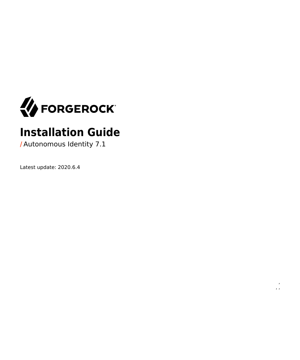<span id="page-0-0"></span>

# **Installation Guide**

 $\epsilon$ , ,

**/** Autonomous Identity 7.1

Latest update: 2020.6.4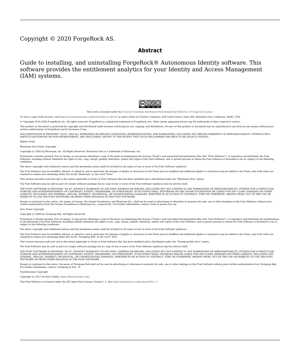#### Copyright © 2020 ForgeRock AS.

#### **Abstract**

Guide to installing, and uninstalling ForgeRock® Autonomous Identity software. This software provides the entitlement analytics for your Identity and Access Management (IAM) systems.



This work is licensed under the [Creative Commons Attribution-NonCommercial-NoDerivs 3.0 Unported License.](https://creativecommons.org/licenses/by-nc-nd/3.0/)

To view a copy of this license, visit <https://creativecommons.org/licenses/by-nc-nd/3.0/> or send a letter to Creative Commons, 444 Castro Street, Suite 900, Mountain View, California, 94041, USA.

© Copyright 2010–2020 ForgeRock, Inc. All rights reserved. ForgeRock is a registered trademark of ForgeRock, Inc. Other marks appearing herein may be trademarks of their respective owners.

This product or document is protected by copyright and distributed under licenses restricting its use, copying, and distribution. No part of this product or document may be reproduced in any form by any means without prior

DOCUMENTATION IS PROVIDED "AS IS" AND ALL EXPRESSED OR IMPLIED CONDITIONE REPRESENTATIONS, AND WARREANTY OF MERCHOLONENT MERCHANTABILITY, FITNESS FOR A<br>PARTICULAR PURPOSE OR NON-INFRINGEMENT, ARE DISCLAIMED, EXCEPT TO THE

DejaVu Fonts

Bitstream Vera Fonts Copyright

Copyright (c) 2003 by Bitstream, Inc. All Rights Reserved. Bitstream Vera is a trademark of Bitstream, Inc.

Permission is hereby granted, free of charge, to any person obtaining a copy of the fonts accompanying this license ("Fonts") and associated documentation files (the "Font Software"), to reproduce and distribute the Font Software, including without limitation the rights to use, copy, merge, publish, distribute, and/or sell copies of the Font Software, and to permit persons to whom the Font Software is furnished to do so, subject to the fol condition

The above copyright and trademark notices and this permission notice shall be included in all copies of one or more of the Font Software typefaces.

The Font Software may be modified, altered, or added to, and in particular the designs of glyphs or characters in the Fonts may be modified and additional glyphs or characters may be added to the Fonts, only if the fonts a

This License becomes null and void to the extent applicable to Fonts or Font Software that has been modified and is distributed under the "Bitstream Vera" names.

The Font Software may be sold as part of a larger software package but no copy of one or more of the Font Software typefaces may be sold by itself.

THE FONT SOFTWARE IS PROVIDED "AS IS", WITHOUT WARRANTY OF ANY KIND, EXPRESS OR IMPLIED, INCLUDING BUT NOT LIMITED TO ANY WARRANTIES OF MERCHANTABILITY, FITNESS FOR A PARTICULAR PURPOSE AND NONINFRINGEMENT OF COPYRIGHT, PATENT, TRADEMARK, OR OTHER RIGHT. IN NO EVENT SHALL BITSTREAM OR THE GNOME FOUNDATION BE LIABLE FOR ANY CLAIM, DAMAGES OR OTHER<br>LIABILITY, INCLUDING ANY GENERAL, SPECIAL, INDIRECT

Except as contained in this notice, the annes of Gnome, the Gnome Foundation, and Bitstream Inc., shall not be used in advertising or othervise to promote the sale, use or other dealings in this Font Software without prior

Arev Fonts Copyright

Copyright (c) 2006 by Tavmjong Bah. All Rights Reserved.

Permission is hereby granted, free of charge, to any person obtaining a copy of the fonts accompanying this license ("FontS") and associated documentation files (the "Font Software"), to reproduce and distribute the modifi

The above copyright and trademark notices and this permission notice shall be included in all copies of one or more of the Font Software typefaces.

The Font Software may be modified, altered, or added to, and in particular the designs of glyphs or characters in the Fonts may be modified and additional glyphs or characters may be added to the Fonts, only if the fonts a

This License becomes null and void to the extent applicable to Fonts or Font Software that has been modified and is distributed under the "Tavmjong Bah Arev" names.

The Font Software may be sold as part of a larger software package but no copy of one or more of the Font Software typefaces may be sold by itself.

THE FONT SOFTWARE IS PROVIDED "AS IS", WITHOUT WARRANTY OF ANY KIND, EXPRESS OR IMPLIED, INCLUDING BUT NOT LIMIT<br>PURPOSE AND NONINFRINGEMENT OF COPYRIGHT. PATENT. TRADEMARK. OR OTHER RIGHT. IN NO EVENT SHALL TANMONG BAH BE PURPOSE AND NONINFRINGEMENT OF COPYRIGHT, TRADEMARK, OR OTHER RIGHT. IN NO EVENT SHAL TAVMJONG BAH BE LIABLE FOR ANY CLAIM, DAMAGES OR OTHER LIABILITY, INCLUDING ANY MALTY, INCLUDING ANY ORDER IN SABILITY TO USE THE FONT<br>G SOFTWARE OR FROM OTHER DEALINGS IN THE FONT SOFTWARE.

Except as contained in this notice, the name of Taymjong Bah shall not be used in advertising or otherwise to promote the sale, use or other dealings in this Font Software without prior written authorization from Taymjong For further information, contact: tavmjong @ free . fr.

FontAwesome Copyright

Copyright (c) 2017 by Dave Gandy, [https://fontawesome.com/.](https://fontawesome.com/)

This Font Software is licensed under the SIL Open Font License, Version 1.1. See<https://opensource.org/licenses/OFL-1.1>.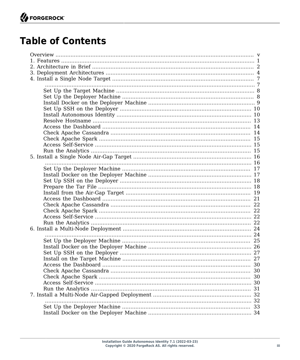## **Table of Contents**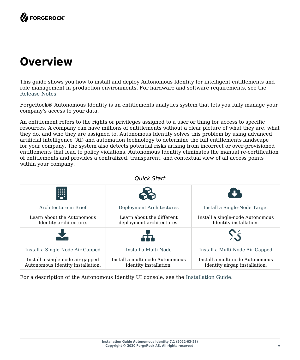# <span id="page-4-0"></span>**Overview**

This guide shows you how to install and deploy Autonomous Identity for intelligent entitlements and role management in production environments. For hardware and software requirements, see the Release Notes.

ForgeRock® Autonomous Identity is an entitlements analytics system that lets you fully manage your company's access to your data.

An entitlement refers to the rights or privileges assigned to a user or thing for access to specific resources. A company can have millions of entitlements without a clear picture of what they are, what they do, and who they are assigned to. Autonomous Identity solves this problem by using advanced artificial intelligence (AI) and automation technology to determine the full entitlements landscape for your company. The system also detects potential risks arising from incorrect or over-provisioned entitlements that lead to policy violations. Autonomous Identity eliminates the manual re-certification of entitlements and provides a centralized, transparent, and contextual view of all access points within your company.

*Quick Start*

|                                                                       | QUICK STATT                                               |                                                                  |
|-----------------------------------------------------------------------|-----------------------------------------------------------|------------------------------------------------------------------|
| W                                                                     |                                                           | <b>TI</b>                                                        |
| Architecture in Brief                                                 | Deployment Architectures                                  | Install a Single-Node Target                                     |
| Learn about the Autonomous<br>Identity architecture.                  | Learn about the different<br>deployment architectures.    | Install a single-node Autonomous<br>Identity installation.       |
|                                                                       |                                                           |                                                                  |
| Install a Single-Node Air-Gapped                                      | Install a Multi-Node                                      | Install a Multi-Node Air-Gapped                                  |
| Install a single-node air-gapped<br>Autonomous Identity installation. | Install a multi-node Autonomous<br>Identity installation. | Install a multi-node Autonomous<br>Identity airgap installation. |

For a description of the Autonomous Identity UI console, see the [Installation Guide.](#page-0-0)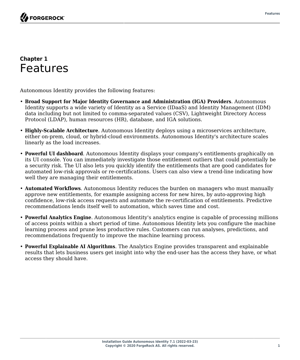#### <span id="page-5-0"></span>**Chapter 1** Features

Autonomous Identity provides the following features:

- **Broad Support for Major Identity Governance and Administration (IGA) Providers**. Autonomous Identity supports a wide variety of Identity as a Service (IDaaS) and Identity Management (IDM) data including but not limited to comma-separated values (CSV), Lightweight Directory Access Protocol (LDAP), human resources (HR), database, and IGA solutions.
- **Highly-Scalable Architecture**. Autonomous Identity deploys using a microservices architecture, either on-prem, cloud, or hybrid-cloud environments. Autonomous Identity's architecture scales linearly as the load increases.
- **Powerful UI dashboard**. Autonomous Identity displays your company's entitlements graphically on its UI console. You can immediately investigate those entitlement outliers that could potentially be a security risk. The UI also lets you quickly identify the entitlements that are good candidates for automated low-risk approvals or re-certifications. Users can also view a trend-line indicating how well they are managing their entitlements.
- **Automated Workflows**. Autonomous Identity reduces the burden on managers who must manually approve new entitlements, for example assigning access for new hires, by auto-approving high confidence, low-risk access requests and automate the re-certification of entitlements. Predictive recommendations lends itself well to automation, which saves time and cost.
- **Powerful Analytics Engine**. Autonomous Identity's analytics engine is capable of processing millions of access points within a short period of time. Autonomous Identity lets you configure the machine learning process and prune less productive rules. Customers can run analyses, predictions, and recommendations frequently to improve the machine learning process.
- **Powerful Explainable AI Algorithms**. The Analytics Engine provides transparent and explainable results that lets business users get insight into why the end-user has the access they have, or what access they should have.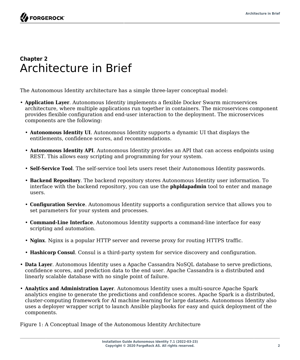**FORGEROCK** 

### <span id="page-6-0"></span>**Chapter 2** Architecture in Brief

The Autonomous Identity architecture has a simple three-layer conceptual model:

- **Application Layer**. Autonomous Identity implements a flexible Docker Swarm microservices architecture, where multiple applications run together in containers. The microservices component provides flexible configuration and end-user interaction to the deployment. The microservices components are the following:
	- **Autonomous Identity UI**. Autonomous Identity supports a dynamic UI that displays the entitlements, confidence scores, and recommendations.
	- **Autonomous Identity API**. Autonomous Identity provides an API that can access endpoints using REST. This allows easy scripting and programming for your system.
	- **Self-Service Tool**. The self-service tool lets users reset their Autonomous Identity passwords.
	- **Backend Repository**. The backend repository stores Autonomous Identity user information. To interface with the backend repository, you can use the **phpldapadmin** tool to enter and manage users.
	- **Configuration Service**. Autonomous Identity supports a configuration service that allows you to set parameters for your system and processes.
	- **Command-Line Interface**. Autonomous Identity supports a command-line interface for easy scripting and automation.
	- **Nginx**. Nginx is a popular HTTP server and reverse proxy for routing HTTPS traffic.
	- **Hashicorp Consul**. Consul is a third-party system for service discovery and configuration.
- **Data Layer**. Autonomous Identity uses a Apache Cassandra NoSQL database to serve predictions, confidence scores, and prediction data to the end user. Apache Cassandra is a distributed and linearly scalable database with no single point of failure.
- **Analytics and Administration Layer**. Autonomous Identity uses a multi-source Apache Spark analytics engine to generate the predictions and confidence scores. Apache Spark is a distributed, cluster-computing framework for AI machine learning for large datasets. Autonomous Identity also uses a deployer wrapper script to launch Ansible playbooks for easy and quick deployment of the components.

Figure 1: A Conceptual Image of the Autonomous Identity Architecture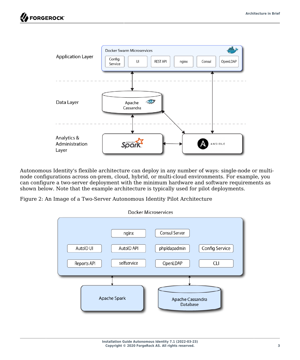

Autonomous Identity's flexible architecture can deploy in any number of ways: single-node or multinode configurations across on-prem, cloud, hybrid, or multi-cloud environments. For example, you can configure a two-server deployment with the minimum hardware and software requirements as shown below. Note that the example architecture is typically used for pilot deployments.

Figure 2: An Image of a Two-Server Autonomous Identity Pilot Architecture

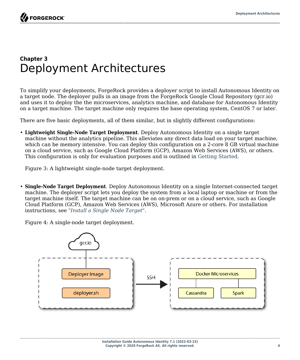### <span id="page-8-0"></span>**Chapter 3** Deployment Architectures

To simplify your deployments, ForgeRock provides a deployer script to install Autonomous Identity on a target node. The deployer pulls in an image from the ForgeRock Google Cloud Repository (gcr.io) and uses it to deploy the the microservices, analytics machine, and database for Autonomous Identity on a target machine. The target machine only requires the base operating system, CentOS 7 or later.

There are five basic deployments, all of them similar, but in slightly different configurations:

• **Lightweight Single-Node Target Deployment**. Deploy Autonomous Identity on a single target machine without the analytics pipeline. This alleviates any direct data load on your target machine, which can be memory intensive. You can deploy this configuration on a 2-core 8 GB virtual machine on a cloud service, such as Google Cloud Platform (GCP), Amazon Web Services (AWS), or others. This configuration is only for evaluation purposes and is outlined in Getting Started.

Figure 3: A lightweight single-node target deployment.

• **Single-Node Target Deployment**. Deploy Autonomous Identity on a single Internet-connected target machine. The deployer script lets you deploy the system from a local laptop or machine or from the target machine itself. The target machine can be on on-prem or on a cloud service, such as Google Cloud Platform (GCP), Amazon Web Services (AWS), Microsoft Azure or others. For installation instructions, see "*[Install a Single Node Target](#page-11-0)*".

Figure 4: A single-node target deployment.

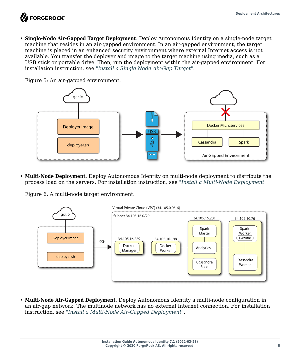• **Single-Node Air-Gapped Target Deployment**. Deploy Autonomous Identity on a single-node target machine that resides in an air-gapped environment. In an air-gapped environment, the target machine is placed in an enhanced security environment where external Internet access is not available. You transfer the deployer and image to the target machine using media, such as a USB stick or portable drive. Then, run the deployment within the air-gapped environment. For installation instruction, see "*[Install a Single Node Air-Gap Target](#page-20-0)*".



Figure 5: An air-gapped environment.

• **Multi-Node Deployment**. Deploy Autonomous Identity on multi-node deployment to distribute the process load on the servers. For installation instruction, see "*[Install a Multi-Node Deployment](#page-28-0)*"

Figure 6: A multi-node target environment.



• **Multi-Node Air-Gapped Deployment**. Deploy Autonomous Identity a multi-node configuration in an air-gap network. The multinode network has no external Internet connection. For installation instruction, see "*[Install a Multi-Node Air-Gapped Deployment](#page-36-0)*".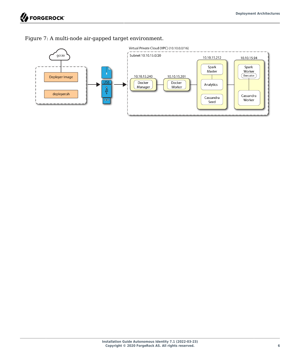

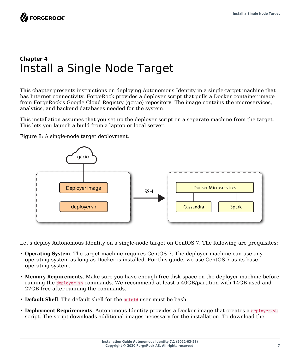## <span id="page-11-0"></span>**Chapter 4** Install a Single Node Target

This chapter presents instructions on deploying Autonomous Identity in a single-target machine that has Internet connectivity. ForgeRock provides a deployer script that pulls a Docker container image from ForgeRock's Google Cloud Registry (gcr.io) repository. The image contains the microservices, analytics, and backend databases needed for the system.

This installation assumes that you set up the deployer script on a separate machine from the target. This lets you launch a build from a laptop or local server.

Figure 8: A single-node target deployment.



<span id="page-11-1"></span>Let's deploy Autonomous Identity on a single-node target on CentOS 7. The following are prequisites:

- **Operating System**. The target machine requires CentOS 7. The deployer machine can use any operating system as long as Docker is installed. For this guide, we use CentOS 7 as its base operating system.
- **Memory Requirements**. Make sure you have enough free disk space on the deployer machine before running the deployer.sh commands. We recommend at least a 40GB/partition with 14GB used and 27GB free after running the commands.
- **Default Shell**. The default shell for the autoid user must be bash.
- **Deployment Requirements**. Autonomous Identity provides a Docker image that creates a deployer.sh script. The script downloads additional images necessary for the installation. To download the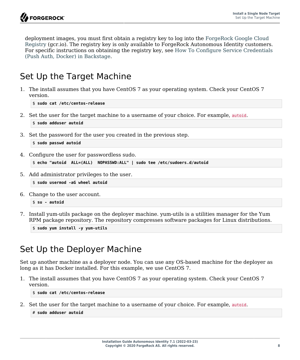deployment images, you must first obtain a registry key to log into the [ForgeRock Google Cloud](https://gcr.io/forgerock-autoid/deployer:2020.6.4) [Registry](https://gcr.io/forgerock-autoid/deployer:2020.6.4) (gcr.io). The registry key is only available to ForgeRock Autonomous Identity customers. For specific instructions on obtaining the registry key, see [How To Configure Service Credentials](https://backstage.forgerock.com/knowledge/backstagehelp/article/a92326771) [\(Push Auth, Docker\) in Backstage.](https://backstage.forgerock.com/knowledge/backstagehelp/article/a92326771)

### <span id="page-12-0"></span>Set Up the Target Machine

1. The install assumes that you have CentOS 7 as your operating system. Check your CentOS 7 version.

\$ **sudo cat /etc/centos-release**

2. Set the user for the target machine to a username of your choice. For example, autoid.

```
$ sudo adduser autoid
```
3. Set the password for the user you created in the previous step.

```
$ sudo passwd autoid
```
4. Configure the user for passwordless sudo.

```
$ echo "autoid ALL=(ALL) NOPASSWD:ALL" | sudo tee /etc/sudoers.d/autoid
```
5. Add administrator privileges to the user.

```
$ sudo usermod -aG wheel autoid
```
6. Change to the user account.

```
$ su - autoid
```
7. Install yum-utils package on the deployer machine. yum-utils is a utilities manager for the Yum RPM package repository. The repository compresses software packages for Linux distributions.

\$ **sudo yum install -y yum-utils**

## <span id="page-12-1"></span>Set Up the Deployer Machine

Set up another machine as a deployer node. You can use any OS-based machine for the deployer as long as it has Docker installed. For this example, we use CentOS 7.

1. The install assumes that you have CentOS 7 as your operating system. Check your CentOS 7 version.

\$ **sudo cat /etc/centos-release**

2. Set the user for the target machine to a username of your choice. For example, autoid.

```
# sudo adduser autoid
```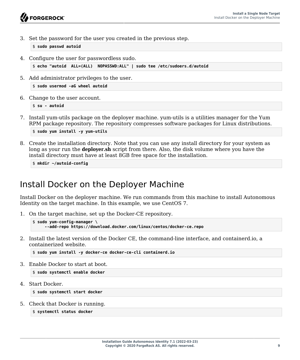3. Set the password for the user you created in the previous step.

\$ **sudo passwd autoid**

4. Configure the user for passwordless sudo.

```
$ echo "autoid ALL=(ALL) NOPASSWD:ALL" | sudo tee /etc/sudoers.d/autoid
```
5. Add administrator privileges to the user.

\$ **sudo usermod -aG wheel autoid**

6. Change to the user account.

\$ **su - autoid**

7. Install yum-utils package on the deployer machine. yum-utils is a utilities manager for the Yum RPM package repository. The repository compresses software packages for Linux distributions.

\$ **sudo yum install -y yum-utils**

8. Create the installation directory. Note that you can use any install directory for your system as long as your run the **deployer.sh** script from there. Also, the disk volume where you have the install directory must have at least 8GB free space for the installation.

\$ **mkdir ~/autoid-config**

### <span id="page-13-0"></span>Install Docker on the Deployer Machine

Install Docker on the deployer machine. We run commands from this machine to install Autonomous Identity on the target machine. In this example, we use CentOS 7.

1. On the target machine, set up the Docker-CE repository.

```
$ sudo yum-config-manager \
      --add-repo https://download.docker.com/linux/centos/docker-ce.repo
```
2. Install the latest version of the Docker CE, the command-line interface, and containerd.io, a containerized website.

\$ **sudo yum install -y docker-ce docker-ce-cli containerd.io**

3. Enable Docker to start at boot.

\$ **sudo systemctl enable docker**

4. Start Docker.

\$ **sudo systemctl start docker**

5. Check that Docker is running.

```
$ systemctl status docker
```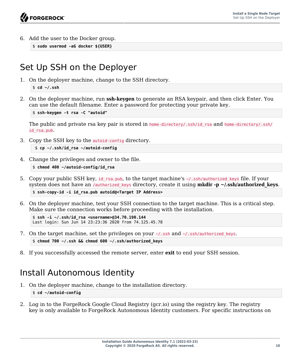6. Add the user to the Docker group.

```
$ sudo usermod -aG docker ${USER}
```
## <span id="page-14-0"></span>Set Up SSH on the Deployer

1. On the deployer machine, change to the SSH directory.

```
$ cd ~/.ssh
```
2. On the deployer machine, run **ssh-keygen** to generate an RSA keypair, and then click Enter. You can use the default filename. Enter a password for protecting your private key.

```
$ ssh-keygen -t rsa -C "autoid"
```
The public and private rsa key pair is stored in home-directory/.ssh/id rsa and home-directory/.ssh/ id\_rsa.pub.

3. Copy the SSH key to the autoid-config directory.

```
 $ cp ~/.ssh/id_rsa ~/autoid-config
```
4. Change the privileges and owner to the file.

```
$ chmod 400 ~/autoid-config/id_rsa
```
5. Copy your public SSH key, id rsa.pub, to the target machine's  $\sim$ /.ssh/authorized keys file. If your system does not have an */authorized keys directory, create it using* **mkdir -p ~/.ssh/authorized keys.** 

```
$ ssh-copy-id -i id_rsa.pub autoid@<Target IP Address>
```
6. On the deployer machine, test your SSH connection to the target machine. This is a critical step. Make sure the connection works before proceeding with the installation.

```
$ ssh -i ~/.ssh/id_rsa <username>@34.70.190.144
Last login: Sun Jun 14 23:23:36 2020 from 74.125.45.78
```
- 7. On the target machine, set the privileges on your  $\sim$ /.ssh and  $\sim$ /.ssh/authorized keys. \$ **chmod 700 ~/.ssh && chmod 600 ~/.ssh/authorized\_keys**
- <span id="page-14-1"></span>8. If you successfully accessed the remote server, enter **exit** to end your SSH session.

## Install Autonomous Identity

- 1. On the deployer machine, change to the installation directory. \$ **cd ~/autoid-config**
- 2. Log in to the ForgeRock Google Cloud Registry (gcr.io) using the registry key. The registry key is only available to ForgeRock Autonomous Identity customers. For specific instructions on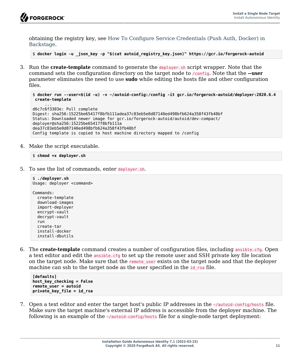

...

obtaining the registry key, see [How To Configure Service Credentials \(Push Auth, Docker\) in](https://backstage.forgerock.com/knowledge/backstagehelp/article/a92326771) [Backstage](https://backstage.forgerock.com/knowledge/backstagehelp/article/a92326771).

\$ **docker login -u \_json\_key -p "\$(cat autoid\_registry\_key.json)" https://gcr.io/forgerock-autoid**

3. Run the **create-template** command to generate the deployer.sh script wrapper. Note that the command sets the configuration directory on the target node to /config. Note that the **--user** parameter eliminates the need to use **sudo** while editing the hosts file and other configuration files.

```
$ docker run --user=$(id -u) -v ~/autoid-config:/config -it gcr.io/forgerock-autoid/deployer:2020.6.4
 create-template
```

```
d6c7c6f3303e: Pull complete
Digest: sha256:15225be65417f8bfb111adea37c83eb5e0d87140ed498bfb624a358f43fb48bf
Status: Downloaded newer image for gcr.io/forgerock-autoid/autoid/dev-compact/
deployer@sha256:15225be65417f8bfb111a
dea37c83eb5e0d87140ed498bfb624a358f43fb48bf
Config template is copied to host machine directory mapped to /config
```
4. Make the script executable.

```
$ chmod +x deployer.sh
```
5. To see the list of commands, enter deployer.sh.

```
$ ./deployer.sh
Usage: deployer <command>
Commands:
   create-template
   download-images
   import-deployer
   encrypt-vault
   decrypt-vault
   run
   create-tar
   install-docker
   install-dbutils
```
6. The **create-template** command creates a number of configuration files, including ansible.cfg. Open a text editor and edit the ansible.cfg to set up the remote user and SSH private key file location on the target node. Make sure that the remote user exists on the target node and that the deployer machine can ssh to the target node as the user specified in the id rsa file.

```
[defaults]
host_key_checking = False
remote_user = autoid
private_key_file = id_rsa
```
7. Open a text editor and enter the target host's public IP addresses in the ~/autoid-config/hosts file. Make sure the target machine's external IP address is accessible from the deployer machine. The following is an example of the  $\sim$ /autoid-config/hosts file for a single-node target deployment: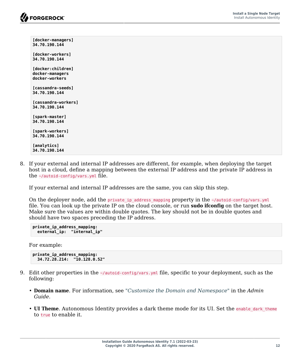**[docker-managers] 34.70.190.144 [docker-workers] 34.70.190.144 [docker:children] docker-managers docker-workers [cassandra-seeds] 34.70.190.144 [cassandra-workers] 34.70.190.144 [spark-master] 34.70.190.144 [spark-workers] 34.70.190.144 [analytics] 34.70.190.144**

8. If your external and internal IP addresses are different, for example, when deploying the target host in a cloud, define a mapping between the external IP address and the private IP address in the ~/autoid-config/vars.yml file.

If your external and internal IP addresses are the same, you can skip this step.

On the deployer node, add the private ip address mapping property in the -/autoid-config/vars.yml file. You can look up the private IP on the cloud console, or run **sudo ifconfig** on the target host. Make sure the values are within double quotes. The key should not be in double quotes and should have two spaces preceding the IP address.

```
private_ip_address_mapping:
   external_ip: "internal_ip"
```
For example:

```
private_ip_address_mapping:
   34.72.28.214: "10.128.0.52"
```
- 9. Edit other properties in the ~/autoid-config/vars.yml file, specific to your deployment, such as the following:
	- **Domain name**. For information, see "*Customize the Domain and Namespace*" in the *Admin Guide*.
	- **UI Theme**. Autonomous Identity provides a dark theme mode for its UI. Set the enable dark theme to true to enable it.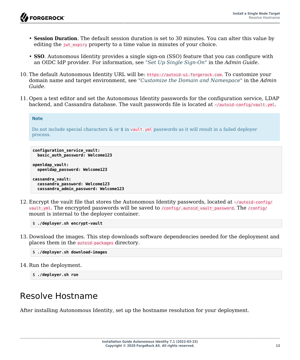- **Session Duration**. The default session duration is set to 30 minutes. You can alter this value by editing the jwt expiry property to a time value in minutes of your choice.
- **SSO**. Autonomous Identity provides a single sign-on (SSO) feature that you can configure with an OIDC IdP provider. For information, see "*Set Up Single Sign-On*" in the *Admin Guide*.
- 10. The default Autonomous Identity URL will be: https://autoid-ui.forgerock.com. To customize your domain name and target environment, see "*Customize the Domain and Namespace*" in the *Admin Guide*.
- 11. Open a text editor and set the Autonomous Identity passwords for the configuration service, LDAP backend, and Cassandra database. The vault passwords file is located at ~/autoid-config/vault.yml.

```
Note
Do not include special characters & or \frac{1}{2} in vault.yml passwords as it will result in a failed deployer
process.
```

```
configuration_service_vault:
  basic_auth_password: Welcome123
```
**openldap\_vault: openldap\_password: Welcome123**

```
cassandra_vault:
  cassandra_password: Welcome123
  cassandra_admin_password: Welcome123
```
12. Encrypt the vault file that stores the Autonomous Identity passwords, located at ~/autoid-config/ vault.yml. The encrypted passwords will be saved to /config/.autoid vault\_password. The /config/ mount is internal to the deployer container.

```
$ ./deployer.sh encrypt-vault
```
13. Download the images. This step downloads software dependencies needed for the deployment and places them in the autoid-packages directory.

```
$ ./deployer.sh download-images
```
14. Run the deployment.

```
$ ./deployer.sh run
```
## <span id="page-17-0"></span>Resolve Hostname

After installing Autonomous Identity, set up the hostname resolution for your deployment.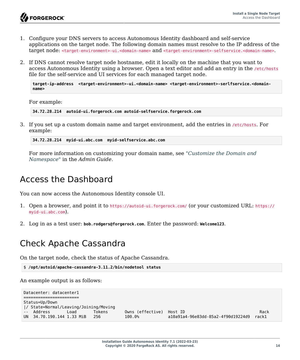- 1. Configure your DNS servers to access Autonomous Identity dashboard and self-service applications on the target node. The following domain names must resolve to the IP address of the target node: <target-environment>-ui.<domain-name> and <target-environment>-selfservice.<domain-name>.
- 2. If DNS cannot resolve target node hostname, edit it locally on the machine that you want to access Autonomous Identity using a browser. Open a text editor and add an entry in the /etc/hosts file for the self-service and UI services for each managed target node.

**target-ip-address <target-environment>-ui.<domain-name> <target-environment>-serlfservice.<domainname>**

For example:

**34.72.28.214 autoid-ui.forgerock.com autoid-selfservice.forgerock.com**

3. If you set up a custom domain name and target environment, add the entries in /etc/hosts. For example:

**34.72.28.214 myid-ui.abc.com myid-selfservice.abc.com**

For more information on customizing your domain name, see "*Customize the Domain and Namespace*" in the *Admin Guide*.

### <span id="page-18-0"></span>Access the Dashboard

You can now access the Autonomous Identity console UI.

- 1. Open a browser, and point it to https://autoid-ui.forgerock.com/ (or your customized URL: https:// myid-ui.abc.com).
- <span id="page-18-1"></span>2. Log in as a test user: **bob.rodgers@forgerock.com**. Enter the password: **Welcome123**.

#### Check Apache Cassandra

On the target node, check the status of Apache Cassandra.

\$ **/opt/autoid/apache-cassandra-3.11.2/bin/nodetool status**

An example output is as follows:

```
Datacenter: datacenter1
=======================
Status=Up/Down
|/ State=Normal/Leaving/Joining/Moving
-- Address Load Tokens Owns (effective) Host ID Rack
                        UN 34.70.190.144 1.33 MiB 256 100.0% a10a91a4-96e83dd-85a2-4f90d19224d9 rack1
```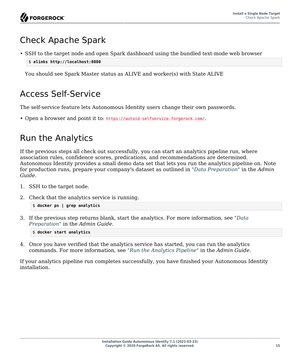## <span id="page-19-0"></span>Check Apache Spark

• SSH to the target node and open Spark dashboard using the bundled text-mode web browser \$ **elinks http://localhost:8080**

<span id="page-19-1"></span>You should see Spark Master status as ALIVE and worker(s) with State ALIVE

## Access Self-Service

The self-service feature lets Autonomous Identity users change their own passwords.

<span id="page-19-2"></span>• Open a browser and point it to: https://autoid-selfservice.forgerock.com/.

### Run the Analytics

If the previous steps all check out successfully, you can start an analytics pipeline run, where association rules, confidence scores, predications, and recommendations are determined. Autonomous Identity provides a small demo data set that lets you run the analytics pipeline on. Note for production runs, prepare your company's dataset as outlined in "*Data Preparation*" in the *Admin Guide*.

- 1. SSH to the target node.
- 2. Check that the analytics service is running.

```
$ docker ps | grep analytics
```
3. If the previous step returns blank, start the analytics. For more information, see "*Data Preparation*" in the *Admin Guide*.

\$ **docker start analytics**

4. Once you have verified that the analytics service has started, you can run the analytics commands. For more information, see "*Run the Analytics Pipeline*" in the *Admin Guide*.

If your analytics pipeline run completes successfully, you have finished your Autonomous Identity installation.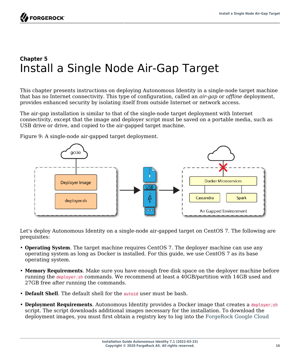## <span id="page-20-0"></span>**Chapter 5** Install a Single Node Air-Gap Target

This chapter presents instructions on deploying Autonomous Identity in a single-node target machine that has no Internet connectivity. This type of configuration, called an *air-gap* or *offline* deployment, provides enhanced security by isolating itself from outside Internet or network access.

The air-gap installation is similar to that of the single-node target deployment with Internet connectivity, except that the image and deployer script must be saved on a portable media, such as USB drive or drive, and copied to the air-gapped target machine.



Figure 9: A single-node air-gapped target deployment.

<span id="page-20-1"></span>Let's deploy Autonomous Identity on a single-node air-gapped target on CentOS 7. The following are prequisites:

- **Operating System**. The target machine requires CentOS 7. The deployer machine can use any operating system as long as Docker is installed. For this guide, we use CentOS 7 as its base operating system.
- **Memory Requirements**. Make sure you have enough free disk space on the deployer machine before running the deployer.sh commands. We recommend at least a 40GB/partition with 14GB used and 27GB free after running the commands.
- **Default Shell**. The default shell for the autoid user must be bash.
- **Deployment Requirements**. Autonomous Identity provides a Docker image that creates a deployer.sh script. The script downloads additional images necessary for the installation. To download the deployment images, you must first obtain a registry key to log into the [ForgeRock Google Cloud](https://gcr.io/forgerock-autoid/deployer:2020.6.4)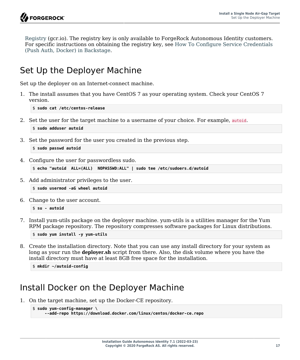[Registry](https://gcr.io/forgerock-autoid/deployer:2020.6.4) (gcr.io). The registry key is only available to ForgeRock Autonomous Identity customers. For specific instructions on obtaining the registry key, see [How To Configure Service Credentials](https://backstage.forgerock.com/knowledge/backstagehelp/article/a92326771) [\(Push Auth, Docker\) in Backstage.](https://backstage.forgerock.com/knowledge/backstagehelp/article/a92326771)

### <span id="page-21-0"></span>Set Up the Deployer Machine

Set up the deployer on an Internet-connect machine.

1. The install assumes that you have CentOS 7 as your operating system. Check your CentOS 7 version.

\$ **sudo cat /etc/centos-release**

2. Set the user for the target machine to a username of your choice. For example, autoid.

```
$ sudo adduser autoid
```
3. Set the password for the user you created in the previous step.

```
$ sudo passwd autoid
```
4. Configure the user for passwordless sudo.

```
$ echo "autoid ALL=(ALL) NOPASSWD:ALL" | sudo tee /etc/sudoers.d/autoid
```
5. Add administrator privileges to the user.

```
$ sudo usermod -aG wheel autoid
```
6. Change to the user account.

```
$ su - autoid
```
7. Install yum-utils package on the deployer machine. yum-utils is a utilities manager for the Yum RPM package repository. The repository compresses software packages for Linux distributions.

\$ **sudo yum install -y yum-utils**

8. Create the installation directory. Note that you can use any install directory for your system as long as your run the **deployer.sh** script from there. Also, the disk volume where you have the install directory must have at least 8GB free space for the installation.

\$ **mkdir ~/autoid-config**

## <span id="page-21-1"></span>Install Docker on the Deployer Machine

1. On the target machine, set up the Docker-CE repository.

```
$ sudo yum-config-manager \
      --add-repo https://download.docker.com/linux/centos/docker-ce.repo
```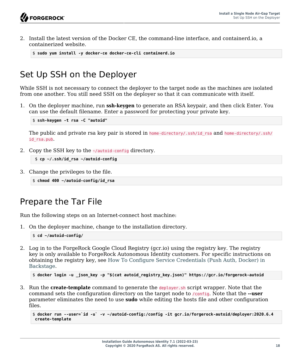2. Install the latest version of the Docker CE, the command-line interface, and containerd.io, a containerized website.

```
$ sudo yum install -y docker-ce docker-ce-cli containerd.io
```
## <span id="page-22-0"></span>Set Up SSH on the Deployer

While SSH is not necessary to connect the deployer to the target node as the machines are isolated from one another. You still need SSH on the deployer so that it can communicate with itself.

1. On the deployer machine, run **ssh-keygen** to generate an RSA keypair, and then click Enter. You can use the default filename. Enter a password for protecting your private key.

\$ **ssh-keygen -t rsa -C "autoid"**

The public and private rsa key pair is stored in home-directory/.ssh/id rsa and home-directory/.ssh/ id\_rsa.pub.

2. Copy the SSH key to the ~/autoid-config directory.

```
 $ cp ~/.ssh/id_rsa ~/autoid-config
```
3. Change the privileges to the file.

```
$ chmod 400 ~/autoid-config/id_rsa
```
### <span id="page-22-1"></span>Prepare the Tar File

Run the following steps on an Internet-connect host machine:

1. On the deployer machine, change to the installation directory.

\$ **cd ~/autoid-config/**

2. Log in to the ForgeRock Google Cloud Registry (gcr.io) using the registry key. The registry key is only available to ForgeRock Autonomous Identity customers. For specific instructions on obtaining the registry key, see [How To Configure Service Credentials \(Push Auth, Docker\) in](https://backstage.forgerock.com/knowledge/backstagehelp/article/a92326771) [Backstage](https://backstage.forgerock.com/knowledge/backstagehelp/article/a92326771).

```
$ docker login -u _json_key -p "$(cat autoid_registry_key.json)" https://gcr.io/forgerock-autoid
```
3. Run the **create-template** command to generate the deployer.sh script wrapper. Note that the command sets the configuration directory on the target node to /config. Note that the **--user** parameter eliminates the need to use **sudo** while editing the hosts file and other configuration files.

```
$ docker run --user=`id -u` -v ~/autoid-config:/config -it gcr.io/forgerock-autoid/deployer:2020.6.4
 create-template
```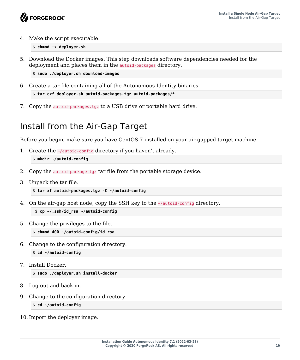4. Make the script executable.

\$ **chmod +x deployer.sh**

5. Download the Docker images. This step downloads software dependencies needed for the deployment and places them in the autoid-packages directory.

\$ **sudo ./deployer.sh download-images**

6. Create a tar file containing all of the Autonomous Identity binaries.

```
$ tar czf deployer.sh autoid-packages.tgz autoid-packages/*
```
<span id="page-23-0"></span>7. Copy the autoid-packages.tgz to a USB drive or portable hard drive.

## Install from the Air-Gap Target

Before you begin, make sure you have CentOS 7 installed on your air-gapped target machine.

1. Create the ~/autoid-config directory if you haven't already.

\$ **mkdir ~/autoid-config**

- 2. Copy the autoid-package.tgz tar file from the portable storage device.
- 3. Unpack the tar file.

```
$ tar xf autoid-packages.tgz -C ~/autoid-config
```
4. On the air-gap host node, copy the SSH key to the ~/autoid-config directory.

```
 $ cp ~/.ssh/id_rsa ~/autoid-config
```
5. Change the privileges to the file.

\$ **chmod 400 ~/autoid-config/id\_rsa**

6. Change to the configuration directory.

```
$ cd ~/autoid-config
```
7. Install Docker.

\$ **sudo ./deployer.sh install-docker**

- 8. Log out and back in.
- 9. Change to the configuration directory.

```
$ cd ~/autoid-config
```
10. Import the deployer image.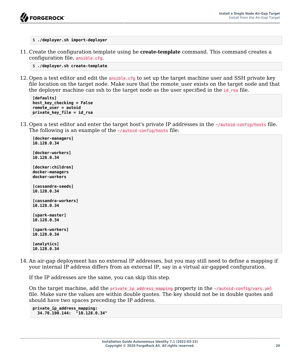

\$ **./deployer.sh import-deployer**

11. Create the configuration template using he **create-template** command. This command creates a configuration file, ansible.cfg.

```
$ ./deployer.sh create-template
```
12. Open a text editor and edit the ansible.cfg to set up the target machine user and SSH private key file location on the target node. Make sure that the remote user exists on the target node and that the deployer machine can ssh to the target node as the user specified in the id rsa file.

```
[defaults]
host_key_checking = False
remote_user = autoid
private_key_file = id_rsa
```
13. Open a text editor and enter the target host's private IP addresses in the ~/autoid-config/hosts file. The following is an example of the  $\sim$ /autoid-config/hosts file:

```
[docker-managers]
10.128.0.34
[docker-workers]
10.128.0.34
[docker:children]
docker-managers
docker-workers
[cassandra-seeds]
10.128.0.34
[cassandra-workers]
10.128.0.34
[spark-master]
10.128.0.34
[spark-workers]
10.128.0.34
[analytics]
10.128.0.34
```
14. An air-gap deployment has no external IP addresses, but you may still need to define a mapping if your internal IP address differs from an external IP, say in a virtual air-gapped configuration.

If the IP addresses are the same, you can skip this step.

On the target machine, add the private ip address mapping property in the  $\sim$ /autoid-config/vars.yml file. Make sure the values are within double quotes. The key should not be in double quotes and should have two spaces preceding the IP address.

```
private_ip_address_mapping:
   34.70.190.144: "10.128.0.34"
```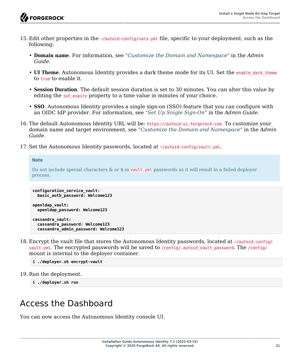

- 15. Edit other properties in the ~/autoid-config/vars.yml file, specific to your deployment, such as the following:
	- **Domain name**. For information, see "*Customize the Domain and Namespace*" in the *Admin Guide*.
	- **UI Theme**. Autonomous Identity provides a dark theme mode for its UI. Set the enable dark theme to true to enable it.
	- **Session Duration**. The default session duration is set to 30 minutes. You can alter this value by editing the jwt expiry property to a time value in minutes of your choice.
	- **SSO**. Autonomous Identity provides a single sign-on (SSO) feature that you can configure with an OIDC IdP provider. For information, see "*Set Up Single Sign-On*" in the *Admin Guide*.
- 16. The default Autonomous Identity URL will be: https://autoid-ui.forgerock.com. To customize your domain name and target environment, see "*Customize the Domain and Namespace*" in the *Admin Guide*.
- 17. Set the Autonomous Identity passwords, located at ~/autoid-config/vault.yml.

#### **Note**

Do not include special characters & or \$ in vault.yml passwords as it will result in a failed deployer process.

```
configuration_service_vault:
  basic_auth_password: Welcome123
```

```
openldap_vault:
   openldap_password: Welcome123
```

```
cassandra_vault:
  cassandra_password: Welcome123
  cassandra_admin_password: Welcome123
```
18. Encrypt the vault file that stores the Autonomous Identity passwords, located at ~/autoid-config/ vault.yml. The encrypted passwords will be saved to /config/.autoid vault password. The /config/ mount is internal to the deployer container.

```
$ ./deployer.sh encrypt-vault
```
19. Run the deployment.

\$ **./deployer.sh run**

## <span id="page-25-0"></span>Access the Dashboard

You can now access the Autonomous Identity console UI.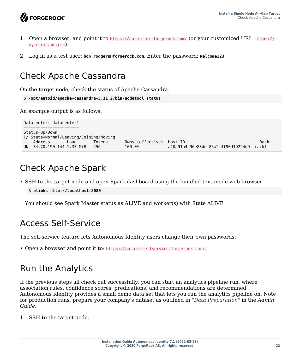- 1. Open a browser, and point it to https://autoid-ui.forgerock.com/ (or your customized URL: https:// myid-ui.abc.com).
- <span id="page-26-0"></span>2. Log in as a test user: **bob.rodgers@forgerock.com**. Enter the password: **Welcome123**.

## Check Apache Cassandra

On the target node, check the status of Apache Cassandra.

```
$ /opt/autoid/apache-cassandra-3.11.2/bin/nodetool status
```
An example output is as follows:

```
Datacenter: datacenter1
======================
Status=Up/Down
|/ State=Normal/Leaving/Joining/Moving
-- Address Load Tokens Owns (effective) Host ID Rack
                     256 100.0% a10a91a4-96e83dd-85a2-4f90d19224d9
```
## <span id="page-26-1"></span>Check Apache Spark

• SSH to the target node and open Spark dashboard using the bundled text-mode web browser

```
$ elinks http://localhost:8080
```
<span id="page-26-2"></span>You should see Spark Master status as ALIVE and worker(s) with State ALIVE

## Access Self-Service

The self-service feature lets Autonomous Identity users change their own passwords.

<span id="page-26-3"></span>• Open a browser and point it to: https://autoid-selfservice.forgerock.com/.

## Run the Analytics

If the previous steps all check out successfully, you can start an analytics pipeline run, where association rules, confidence scores, predications, and recommendations are determined. Autonomous Identity provides a small demo data set that lets you run the analytics pipeline on. Note for production runs, prepare your company's dataset as outlined in "*Data Preparation*" in the *Admin Guide*.

1. SSH to the target node.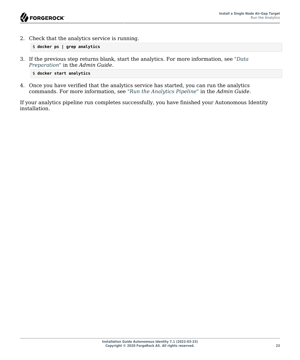2. Check that the analytics service is running.

```
$ docker ps | grep analytics
```
3. If the previous step returns blank, start the analytics. For more information, see "*Data Preparation*" in the *Admin Guide*.

```
$ docker start analytics
```
4. Once you have verified that the analytics service has started, you can run the analytics commands. For more information, see "*Run the Analytics Pipeline*" in the *Admin Guide*.

If your analytics pipeline run completes successfully, you have finished your Autonomous Identity installation.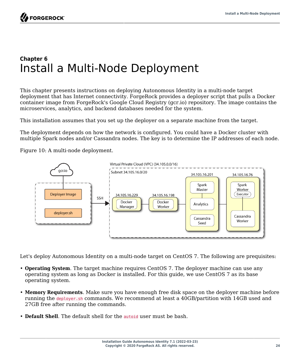## <span id="page-28-0"></span>**Chapter 6** Install a Multi-Node Deployment

This chapter presents instructions on deploying Autonomous Identity in a multi-node target deployment that has Internet connectivity. ForgeRock provides a deployer script that pulls a Docker container image from ForgeRock's Google Cloud Registry (gcr.io) repository. The image contains the microservices, analytics, and backend databases needed for the system.

This installation assumes that you set up the deployer on a separate machine from the target.

The deployment depends on how the network is configured. You could have a Docker cluster with multiple Spark nodes and/or Cassandra nodes. The key is to determine the IP addresses of each node.

Figure 10: A multi-node deployment.



<span id="page-28-1"></span>Let's deploy Autonomous Identity on a multi-node target on CentOS 7. The following are prequisites:

- **Operating System**. The target machine requires CentOS 7. The deployer machine can use any operating system as long as Docker is installed. For this guide, we use CentOS 7 as its base operating system.
- **Memory Requirements**. Make sure you have enough free disk space on the deployer machine before running the deployer.sh commands. We recommend at least a 40GB/partition with 14GB used and 27GB free after running the commands.
- **Default Shell**. The default shell for the autoid user must be bash.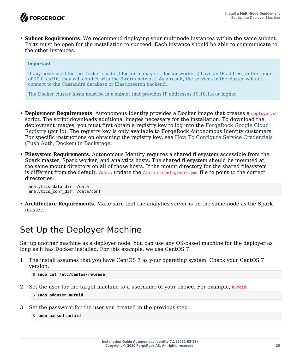• **Subnet Requirements**. We recommend deploying your multinode instances within the same subnet. Ports must be open for the installation to succeed. Each instance should be able to communicate to the other instances.

#### **Important**

If any hosts used for the Docker cluster (docker-managers, docker-workers) have an IP address in the range of 10.0.x.x/16, they will conflict with the Swarm network. As a result, the services in the cluster will not connect to the Cassandra database or Elasticsearch backend.

The Docker cluster hosts must be in a subnet that provides IP addresses 10.10.1.x or higher.

- **Deployment Requirements**. Autonomous Identity provides a Docker image that creates a deployer.sh script. The script downloads additional images necessary for the installation. To download the deployment images, you must first obtain a registry key to log into the [ForgeRock Google Cloud](https://gcr.io/forgerock-autoid/deployer:2020.6.4) [Registry](https://gcr.io/forgerock-autoid/deployer:2020.6.4) (gcr.io). The registry key is only available to ForgeRock Autonomous Identity customers. For specific instructions on obtaining the registry key, see [How To Configure Service Credentials](https://backstage.forgerock.com/knowledge/backstagehelp/article/a92326771) [\(Push Auth, Docker\) in Backstage.](https://backstage.forgerock.com/knowledge/backstagehelp/article/a92326771)
- **Filesystem Requirements**. Autonomous Identity requires a shared filesystem accessible from the Spark master, Spark worker, and analytics hosts. The shared filesystem should be mounted at the same mount directory on all of those hosts. If the mount directory for the shared filesystem is different from the default, /data, update the /autoid-config/vars.yml file to point to the correct directories:

```
analytics_data_dir: /data
analytics_conf_dif: /data/conf
```
• **Architecture Requirements**. Make sure that the analytics server is on the same node as the Spark master.

### <span id="page-29-0"></span>Set Up the Deployer Machine

Set up another machine as a deployer node. You can use any OS-based machine for the deployer as long as it has Docker installed. For this example, we use CentOS 7.

1. The install assumes that you have CentOS 7 as your operating system. Check your CentOS 7 version.

```
$ sudo cat /etc/centos-release
```
2. Set the user for the target machine to a username of your choice. For example, autoid.

```
$ sudo adduser autoid
```
3. Set the password for the user you created in the previous step.

```
$ sudo passwd autoid
```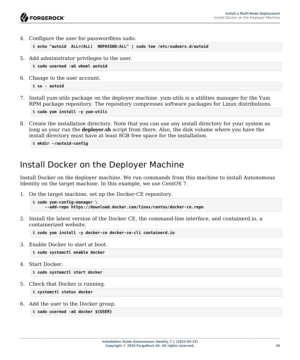4. Configure the user for passwordless sudo.

\$ **echo "autoid ALL=(ALL) NOPASSWD:ALL" | sudo tee /etc/sudoers.d/autoid**

5. Add administrator privileges to the user.

```
$ sudo usermod -aG wheel autoid
```
6. Change to the user account.

```
$ su - autoid
```
7. Install yum-utils package on the deployer machine. yum-utils is a utilities manager for the Yum RPM package repository. The repository compresses software packages for Linux distributions.

```
$ sudo yum install -y yum-utils
```
8. Create the installation directory. Note that you can use any install directory for your system as long as your run the **deployer.sh** script from there. Also, the disk volume where you have the install directory must have at least 8GB free space for the installation.

```
$ mkdir ~/autoid-config
```
## <span id="page-30-0"></span>Install Docker on the Deployer Machine

Install Docker on the deployer machine. We run commands from this machine to install Autonomous Identity on the target machine. In this example, we use CentOS 7.

1. On the target machine, set up the Docker-CE repository.

```
$ sudo yum-config-manager \
      --add-repo https://download.docker.com/linux/centos/docker-ce.repo
```
2. Install the latest version of the Docker CE, the command-line interface, and containerd.io, a containerized website.

\$ **sudo yum install -y docker-ce docker-ce-cli containerd.io**

3. Enable Docker to start at boot.

\$ **sudo systemctl enable docker**

4. Start Docker.

\$ **sudo systemctl start docker**

5. Check that Docker is running.

```
$ systemctl status docker
```
6. Add the user to the Docker group.

```
$ sudo usermod -aG docker ${USER}
```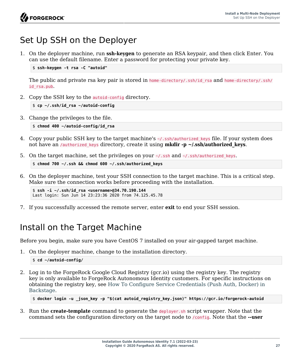## <span id="page-31-0"></span>Set Up SSH on the Deployer

1. On the deployer machine, run **ssh-keygen** to generate an RSA keypair, and then click Enter. You can use the default filename. Enter a password for protecting your private key.

\$ **ssh-keygen -t rsa -C "autoid"**

The public and private rsa key pair is stored in home-directory/.ssh/id rsa and home-directory/.ssh/ id\_rsa.pub.

2. Copy the SSH key to the autoid-config directory.

```
$ cp ~/.ssh/id_rsa ~/autoid-config
```
3. Change the privileges to the file.

```
$ chmod 400 ~/autoid-config/id_rsa
```
- 4. Copy your public SSH key to the target machine's -/.ssh/authorized keys file. If your system does not have an */authorized keys directory, create it using mkdir -p ~/.ssh/authorized keys.*
- 5. On the target machine, set the privileges on your  $\sim$ /.ssh and  $\sim$ /.ssh/authorized keys.

```
$ chmod 700 ~/.ssh && chmod 600 ~/.ssh/authorized_keys
```
6. On the deployer machine, test your SSH connection to the target machine. This is a critical step. Make sure the connection works before proceeding with the installation.

\$ **ssh -i ~/.ssh/id\_rsa <username>@34.70.190.144** Last login: Sun Jun 14 23:23:36 2020 from 74.125.45.78

<span id="page-31-1"></span>7. If you successfully accessed the remote server, enter **exit** to end your SSH session.

## Install on the Target Machine

Before you begin, make sure you have CentOS 7 installed on your air-gapped target machine.

1. On the deployer machine, change to the installation directory.

\$ **cd ~/autoid-config/**

2. Log in to the ForgeRock Google Cloud Registry (gcr.io) using the registry key. The registry key is only available to ForgeRock Autonomous Identity customers. For specific instructions on obtaining the registry key, see [How To Configure Service Credentials \(Push Auth, Docker\) in](https://backstage.forgerock.com/knowledge/backstagehelp/article/a92326771) [Backstage](https://backstage.forgerock.com/knowledge/backstagehelp/article/a92326771).

\$ **docker login -u \_json\_key -p "\$(cat autoid\_registry\_key.json)" https://gcr.io/forgerock-autoid**

3. Run the **create-template** command to generate the deployer.sh script wrapper. Note that the command sets the configuration directory on the target node to /config. Note that the **--user**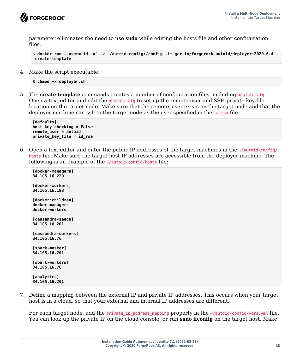

parameter eliminates the need to use **sudo** while editing the hosts file and other configuration files.

```
$ docker run --user=`id -u` -v ~/autoid-config:/config -it gcr.io/forgerock-autoid/deployer:2020.6.4
 create-template
```
4. Make the script executable.

```
$ chmod +x deployer.sh
```
5. The **create-template** commands creates a number of configuration files, including ansible.cfg. Open a text editor and edit the ansible.cfg to set up the remote user and SSH private key file location on the target node. Make sure that the remote user exists on the target node and that the deployer machine can ssh to the target node as the user specified in the id rsa file.

**[defaults] host\_key\_checking = False remote\_user = autoid private\_key\_file = id\_rsa**

6. Open a text editor and enter the public IP addresses of the target machines in the  $\sim$ /autoid-config/ hosts file. Make sure the target host IP addresses are accessible from the deployer machine. The following is an example of the  $\sim$ /autoid-config/hosts file:

```
[docker-managers]
34.105.16.229
[docker-workers]
34.105.16.198
[docker:children]
docker-managers
docker-workers
[cassandra-seeds]
34.105.16.201
[cassandra-workers]
34.105.16.76
[spark-master]
34.105.16.201
[spark-workers]
34.105.16.76
[analytics]
34.105.16.201
```
7. Define a mapping between the external IP and private IP addresses. This occurs when your target host is in a cloud, so that your external and internal IP addresses are different.

For each target node, add the private\_ip\_address\_mapping property in the ~/autoid-config/vars.yml file. You can look up the private IP on the cloud console, or run **sudo ifconfig** on the target host. Make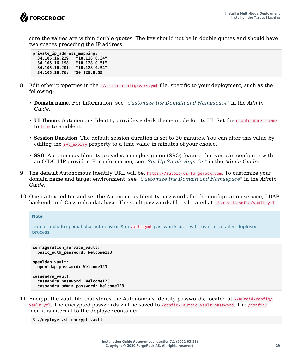sure the values are within double quotes. The key should not be in double quotes and should have two spaces preceding the IP address.

**private\_ip\_address\_mapping: 34.105.16.229: "10.128.0.34" 34.105.16.198: "10.128.0.51" 34.105.16.201: "10.128.0.54" 34.105.16.76: "10.128.0.55"**

- 8. Edit other properties in the  $\sim$ /autoid-config/vars.yml file, specific to your deployment, such as the following:
	- **Domain name**. For information, see "*Customize the Domain and Namespace*" in the *Admin Guide*.
	- **UI Theme**. Autonomous Identity provides a dark theme mode for its UI. Set the enable dark theme to true to enable it.
	- **Session Duration**. The default session duration is set to 30 minutes. You can alter this value by editing the jwt expiry property to a time value in minutes of your choice.
	- **SSO**. Autonomous Identity provides a single sign-on (SSO) feature that you can configure with an OIDC IdP provider. For information, see "*Set Up Single Sign-On*" in the *Admin Guide*.
- 9. The default Autonomous Identity URL will be: https://autoid-ui.forgerock.com. To customize your domain name and target environment, see "*Customize the Domain and Namespace*" in the *Admin Guide*.
- 10. Open a text editor and set the Autonomous Identity passwords for the configuration service, LDAP backend, and Cassandra database. The vault passwords file is located at ~/autoid-config/vault.yml.

```
Note
```
Do not include special characters & or \$ in vault.yml passwords as it will result in a failed deployer process.

```
configuration_service_vault:
   basic_auth_password: Welcome123
openldap_vault:
   openldap_password: Welcome123
```

```
cassandra_vault:
  cassandra_password: Welcome123
  cassandra_admin_password: Welcome123
```
11. Encrypt the vault file that stores the Autonomous Identity passwords, located at ~/autoid-config/ vault.yml. The encrypted passwords will be saved to /config/.autoid\_vault\_password. The /config/ mount is internal to the deployer container.

\$ **./deployer.sh encrypt-vault**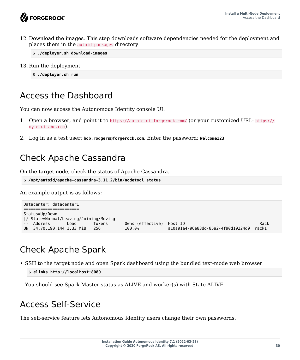12. Download the images. This step downloads software dependencies needed for the deployment and places them in the autoid-packages directory.

\$ **./deployer.sh download-images**

13. Run the deployment.

\$ **./deployer.sh run**

## <span id="page-34-0"></span>Access the Dashboard

You can now access the Autonomous Identity console UI.

- 1. Open a browser, and point it to https://autoid-ui.forgerock.com/ (or your customized URL: https:// myid-ui.abc.com).
- <span id="page-34-1"></span>2. Log in as a test user: **bob.rodgers@forgerock.com**. Enter the password: **Welcome123**.

## Check Apache Cassandra

On the target node, check the status of Apache Cassandra.

```
$ /opt/autoid/apache-cassandra-3.11.2/bin/nodetool status
```
An example output is as follows:

```
Datacenter: datacenter1
=======================
Status=Up/Down
|/ State=Normal/Leaving/Joining/Moving
                           Tokens 0wns (effective) Host ID<br>100.0% al0a9la4-96e83dd-85a2-4f90d19224d9 rackl
UN 34.70.190.144 1.33 MiB 256 100.0% a10a91a4-96e83dd-85a2-4f90d19224d9 rack1
```
## <span id="page-34-2"></span>Check Apache Spark

• SSH to the target node and open Spark dashboard using the bundled text-mode web browser

```
$ elinks http://localhost:8080
```
<span id="page-34-3"></span>You should see Spark Master status as ALIVE and worker(s) with State ALIVE

## Access Self-Service

The self-service feature lets Autonomous Identity users change their own passwords.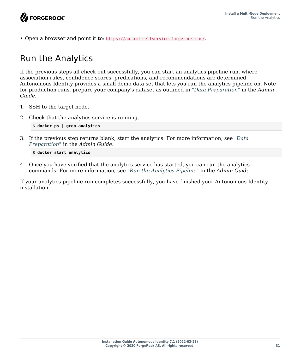<span id="page-35-0"></span>• Open a browser and point it to: https://autoid-selfservice.forgerock.com/.

## Run the Analytics

If the previous steps all check out successfully, you can start an analytics pipeline run, where association rules, confidence scores, predications, and recommendations are determined. Autonomous Identity provides a small demo data set that lets you run the analytics pipeline on. Note for production runs, prepare your company's dataset as outlined in "*Data Preparation*" in the *Admin Guide*.

- 1. SSH to the target node.
- 2. Check that the analytics service is running.

```
$ docker ps | grep analytics
```
3. If the previous step returns blank, start the analytics. For more information, see "*Data Preparation*" in the *Admin Guide*.

\$ **docker start analytics**

4. Once you have verified that the analytics service has started, you can run the analytics commands. For more information, see "*Run the Analytics Pipeline*" in the *Admin Guide*.

If your analytics pipeline run completes successfully, you have finished your Autonomous Identity installation.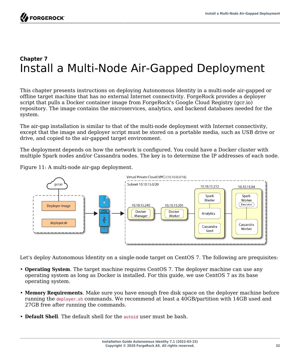## <span id="page-36-0"></span>**Chapter 7** Install a Multi-Node Air-Gapped Deployment

This chapter presents instructions on deploying Autonomous Identity in a multi-node air-gapped or offline target machine that has no external Internet connectivity. ForgeRock provides a deployer script that pulls a Docker container image from ForgeRock's Google Cloud Registry (gcr.io) repository. The image contains the microservices, analytics, and backend databases needed for the system.

The air-gap installation is similar to that of the multi-node deployment with Internet connectivity, except that the image and deployer script must be stored on a portable media, such as USB drive or drive, and copied to the air-gapped target environment.

The deployment depends on how the network is configured. You could have a Docker cluster with multiple Spark nodes and/or Cassandra nodes. The key is to determine the IP addresses of each node.

Figure 11: A multi-node air-gap deployment.



<span id="page-36-1"></span>Let's deploy Autonomous Identity on a single-node target on CentOS 7. The following are prequisites:

- **Operating System**. The target machine requires CentOS 7. The deployer machine can use any operating system as long as Docker is installed. For this guide, we use CentOS 7 as its base operating system.
- **Memory Requirements**. Make sure you have enough free disk space on the deployer machine before running the deployer.sh commands. We recommend at least a 40GB/partition with 14GB used and 27GB free after running the commands.
- **Default Shell**. The default shell for the autoid user must be bash.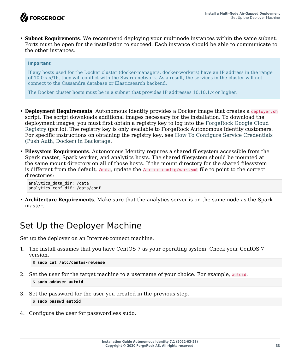• **Subnet Requirements**. We recommend deploying your multinode instances within the same subnet. Ports must be open for the installation to succeed. Each instance should be able to communicate to the other instances.

#### **Important**

If any hosts used for the Docker cluster (docker-managers, docker-workers) have an IP address in the range of 10.0.x.x/16, they will conflict with the Swarm network. As a result, the services in the cluster will not connect to the Cassandra database or Elasticsearch backend.

The Docker cluster hosts must be in a subnet that provides IP addresses 10.10.1.x or higher.

- **Deployment Requirements**. Autonomous Identity provides a Docker image that creates a deployer.sh script. The script downloads additional images necessary for the installation. To download the deployment images, you must first obtain a registry key to log into the [ForgeRock Google Cloud](https://gcr.io/forgerock-autoid/deployer:2020.6.4) [Registry](https://gcr.io/forgerock-autoid/deployer:2020.6.4) (gcr.io). The registry key is only available to ForgeRock Autonomous Identity customers. For specific instructions on obtaining the registry key, see [How To Configure Service Credentials](https://backstage.forgerock.com/knowledge/backstagehelp/article/a92326771) [\(Push Auth, Docker\) in Backstage.](https://backstage.forgerock.com/knowledge/backstagehelp/article/a92326771)
- **Filesystem Requirements**. Autonomous Identity requires a shared filesystem accessible from the Spark master, Spark worker, and analytics hosts. The shared filesystem should be mounted at the same mount directory on all of those hosts. If the mount directory for the shared filesystem is different from the default, /data, update the /autoid-config/vars.yml file to point to the correct directories:

analytics\_data\_dir: /data analytics\_conf\_dif: /data/conf

<span id="page-37-0"></span>• **Architecture Requirements**. Make sure that the analytics server is on the same node as the Spark master.

### Set Up the Deployer Machine

Set up the deployer on an Internet-connect machine.

1. The install assumes that you have CentOS 7 as your operating system. Check your CentOS 7 version.

```
$ sudo cat /etc/centos-release
```
2. Set the user for the target machine to a username of your choice. For example, autoid.

\$ **sudo adduser autoid**

3. Set the password for the user you created in the previous step.

\$ **sudo passwd autoid**

4. Configure the user for passwordless sudo.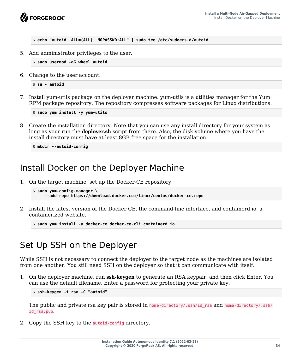

\$ **echo "autoid ALL=(ALL) NOPASSWD:ALL" | sudo tee /etc/sudoers.d/autoid**

5. Add administrator privileges to the user.

\$ **sudo usermod -aG wheel autoid**

6. Change to the user account.

\$ **su - autoid**

7. Install yum-utils package on the deployer machine. yum-utils is a utilities manager for the Yum RPM package repository. The repository compresses software packages for Linux distributions.

\$ **sudo yum install -y yum-utils**

8. Create the installation directory. Note that you can use any install directory for your system as long as your run the **deployer.sh** script from there. Also, the disk volume where you have the install directory must have at least 8GB free space for the installation.

\$ **mkdir ~/autoid-config**

#### <span id="page-38-0"></span>Install Docker on the Deployer Machine

1. On the target machine, set up the Docker-CE repository.

```
$ sudo yum-config-manager \
      --add-repo https://download.docker.com/linux/centos/docker-ce.repo
```
2. Install the latest version of the Docker CE, the command-line interface, and containerd.io, a containerized website.

\$ **sudo yum install -y docker-ce docker-ce-cli containerd.io**

#### <span id="page-38-1"></span>Set Up SSH on the Deployer

While SSH is not necessary to connect the deployer to the target node as the machines are isolated from one another. You still need SSH on the deployer so that it can communicate with itself.

1. On the deployer machine, run **ssh-keygen** to generate an RSA keypair, and then click Enter. You can use the default filename. Enter a password for protecting your private key.

\$ **ssh-keygen -t rsa -C "autoid"**

The public and private rsa key pair is stored in home-directory/.ssh/id rsa and home-directory/.ssh/ id\_rsa.pub.

2. Copy the SSH key to the autoid-config directory.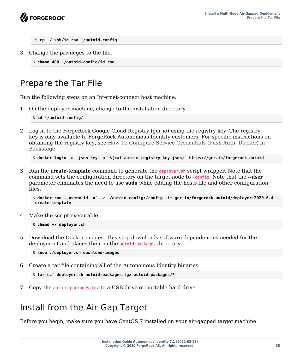```
 $ cp ~/.ssh/id_rsa ~/autoid-config
```
3. Change the privileges to the file.

```
$ chmod 400 ~/autoid-config/id_rsa
```
## <span id="page-39-0"></span>Prepare the Tar File

Run the following steps on an Internet-connect host machine:

1. On the deployer machine, change to the installation directory.

\$ **cd ~/autoid-config/**

2. Log in to the ForgeRock Google Cloud Registry (gcr.io) using the registry key. The registry key is only available to ForgeRock Autonomous Identity customers. For specific instructions on obtaining the registry key, see [How To Configure Service Credentials \(Push Auth, Docker\) in](https://backstage.forgerock.com/knowledge/backstagehelp/article/a92326771) [Backstage](https://backstage.forgerock.com/knowledge/backstagehelp/article/a92326771).

```
$ docker login -u _json_key -p "$(cat autoid_registry_key.json)" https://gcr.io/forgerock-autoid
```
3. Run the **create-template** command to generate the deployer.sh script wrapper. Note that the command sets the configuration directory on the target node to /config. Note that the **--user** parameter eliminates the need to use **sudo** while editing the hosts file and other configuration files.

```
$ docker run --user=`id -u` -v ~/autoid-config:/config -it gcr.io/forgerock-autoid/deployer:2020.6.4
 create-template
```
4. Make the script executable.

\$ **chmod +x deployer.sh**

5. Download the Docker images. This step downloads software dependencies needed for the deployment and places them in the autoid-packages directory.

\$ **sudo ./deployer.sh download-images**

6. Create a tar file containing all of the Autonomous Identity binaries.

```
$ tar czf deployer.sh autoid-packages.tgz autoid-packages/*
```
<span id="page-39-1"></span>7. Copy the autoid-packages.tgz to a USB drive or portable hard drive.

## Install from the Air-Gap Target

Before you begin, make sure you have CentOS 7 installed on your air-gapped target machine.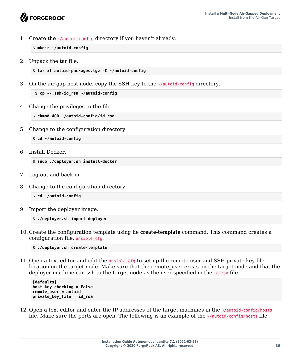1. Create the ~/autoid-config directory if you haven't already.

\$ **mkdir ~/autoid-config**

2. Unpack the tar file.

```
$ tar xf autoid-packages.tgz -C ~/autoid-config
```
3. On the air-gap host node, copy the SSH key to the ~/autoid-config directory.

```
 $ cp ~/.ssh/id_rsa ~/autoid-config
```
4. Change the privileges to the file.

\$ **chmod 400 ~/autoid-config/id\_rsa**

5. Change to the configuration directory.

```
$ cd ~/autoid-config
```
6. Install Docker.

\$ **sudo ./deployer.sh install-docker**

- 7. Log out and back in.
- 8. Change to the configuration directory.

\$ **cd ~/autoid-config**

9. Import the deployer image.

```
$ ./deployer.sh import-deployer
```
10. Create the configuration template using he **create-template** command. This command creates a configuration file, ansible.cfg.

```
$ ./deployer.sh create-template
```
11. Open a text editor and edit the ansible.cfg to set up the remote user and SSH private key file location on the target node. Make sure that the remote user exists on the target node and that the deployer machine can ssh to the target node as the user specified in the id rsa file.

```
[defaults]
host_key_checking = False
remote_user = autoid
private_key_file = id_rsa
```
12. Open a text editor and enter the IP addresses of the target machines in the ~/autoid-config/hosts file. Make sure the ports are open. The following is an example of the  $\sim$ /autoid-config/hosts file: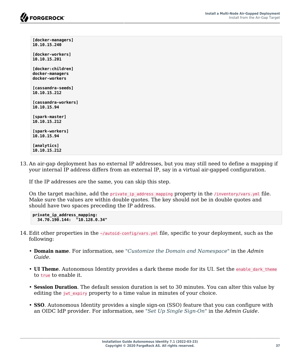**[docker-managers] 10.10.15.240 [docker-workers] 10.10.15.201 [docker:children] docker-managers docker-workers [cassandra-seeds] 10.10.15.212 [cassandra-workers] 10.10.15.94 [spark-master] 10.10.15.212 [spark-workers] 10.10.15.94 [analytics] 10.10.15.212**

13. An air-gap deployment has no external IP addresses, but you may still need to define a mapping if your internal IP address differs from an external IP, say in a virtual air-gapped configuration.

If the IP addresses are the same, you can skip this step.

On the target machine, add the private ip address mapping property in the /inventory/vars.yml file. Make sure the values are within double quotes. The key should not be in double quotes and should have two spaces preceding the IP address.

```
private_ip_address_mapping:
 34.70.190.144: "10.128.0.34"
```
- 14. Edit other properties in the ~/autoid-config/vars.yml file, specific to your deployment, such as the following:
	- **Domain name**. For information, see "*Customize the Domain and Namespace*" in the *Admin Guide*.
	- **UI Theme**. Autonomous Identity provides a dark theme mode for its UI. Set the enable dark theme to true to enable it.
	- **Session Duration**. The default session duration is set to 30 minutes. You can alter this value by editing the  $jwt$  expiry property to a time value in minutes of your choice.
	- **SSO**. Autonomous Identity provides a single sign-on (SSO) feature that you can configure with an OIDC IdP provider. For information, see "*Set Up Single Sign-On*" in the *Admin Guide*.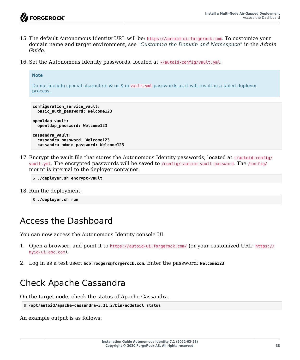**Note**

- 15. The default Autonomous Identity URL will be: https://autoid-ui.forgerock.com. To customize your domain name and target environment, see "*Customize the Domain and Namespace*" in the *Admin Guide*.
- 16. Set the Autonomous Identity passwords, located at ~/autoid-config/vault.yml.

```
Do not include special characters & or $ in vault.yml passwords as it will result in a failed deployer
process.
```

```
configuration_service_vault:
  basic_auth_password: Welcome123
openldap_vault:
  openldap_password: Welcome123
cassandra_vault:
  cassandra_password: Welcome123
  cassandra_admin_password: Welcome123
```
17. Encrypt the vault file that stores the Autonomous Identity passwords, located at ~/autoid-config/ vault.yml. The encrypted passwords will be saved to /config/.autoid vault password. The /config/ mount is internal to the deployer container.

```
$ ./deployer.sh encrypt-vault
```
18. Run the deployment.

```
$ ./deployer.sh run
```
## <span id="page-42-0"></span>Access the Dashboard

You can now access the Autonomous Identity console UI.

- 1. Open a browser, and point it to https://autoid-ui.forgerock.com/ (or your customized URL: https:// myid-ui.abc.com).
- <span id="page-42-1"></span>2. Log in as a test user: **bob.rodgers@forgerock.com**. Enter the password: **Welcome123**.

## Check Apache Cassandra

On the target node, check the status of Apache Cassandra.

```
$ /opt/autoid/apache-cassandra-3.11.2/bin/nodetool status
```
An example output is as follows: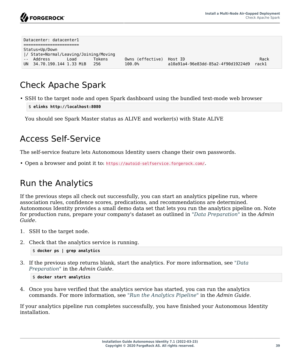

| Datacenter: datacenter1               |        |                  |                                    |       |
|---------------------------------------|--------|------------------|------------------------------------|-------|
|                                       |        |                  |                                    |       |
| Status=Up/Down                        |        |                  |                                    |       |
| / State=Normal/Leaving/Joining/Moving |        |                  |                                    |       |
| -- Address<br>Load                    | Tokens | Owns (effective) | Host ID                            | Rack  |
| UN 34.70.190.144 1.33 MiB             | -256   | 100.0%           | a10a91a4-96e83dd-85a2-4f90d19224d9 | rack1 |

## <span id="page-43-0"></span>Check Apache Spark

• SSH to the target node and open Spark dashboard using the bundled text-mode web browser

```
$ elinks http://localhost:8080
```
<span id="page-43-1"></span>You should see Spark Master status as ALIVE and worker(s) with State ALIVE

#### Access Self-Service

The self-service feature lets Autonomous Identity users change their own passwords.

<span id="page-43-2"></span>• Open a browser and point it to: https://autoid-selfservice.forgerock.com/.

### Run the Analytics

If the previous steps all check out successfully, you can start an analytics pipeline run, where association rules, confidence scores, predications, and recommendations are determined. Autonomous Identity provides a small demo data set that lets you run the analytics pipeline on. Note for production runs, prepare your company's dataset as outlined in "*Data Preparation*" in the *Admin Guide*.

- 1. SSH to the target node.
- 2. Check that the analytics service is running.

```
$ docker ps | grep analytics
```
3. If the previous step returns blank, start the analytics. For more information, see "*Data Preparation*" in the *Admin Guide*.

```
$ docker start analytics
```
4. Once you have verified that the analytics service has started, you can run the analytics commands. For more information, see "*Run the Analytics Pipeline*" in the *Admin Guide*.

If your analytics pipeline run completes successfully, you have finished your Autonomous Identity installation.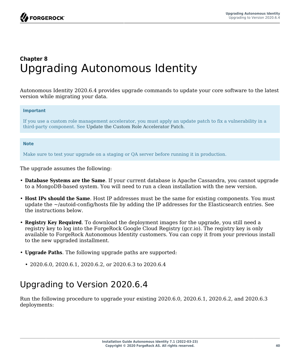## <span id="page-44-0"></span>**Chapter 8** Upgrading Autonomous Identity

Autonomous Identity 2020.6.4 provides upgrade commands to update your core software to the latest version while migrating your data.

#### **Important**

If you use a custom role management accelerator, you must apply an update patch to fix a vulnerability in a third-party component. See [Update the Custom Role Accelerator Patch](#page-47-0).

#### **Note**

Make sure to test your upgrade on a staging or QA server before running it in production.

The upgrade assumes the following:

- **Database Systems are the Same**. If your current database is Apache Cassandra, you cannot upgrade to a MongoDB-based system. You will need to run a clean installation with the new version.
- **Host IPs should the Same**. Host IP addresses must be the same for existing components. You must update the  $\sim$ /autoid-config/hosts file by adding the IP addresses for the Elasticsearch entries. See the instructions below.
- **Registry Key Required**. To download the deployment images for the upgrade, you still need a registry key to log into the ForgeRock Google Cloud Registry (gcr.io). The registry key is only available to ForgeRock Autonomous Identity customers. You can copy it from your previous install to the new upgraded installment.
- **Upgrade Paths**. The following upgrade paths are supported:
	- 2020.6.0, 2020.6.1, 2020.6.2, or 2020.6.3 to 2020.6.4

## <span id="page-44-1"></span>Upgrading to Version 2020.6.4

Run the following procedure to upgrade your existing 2020.6.0, 2020.6.1, 2020.6.2, and 2020.6.3 deployments: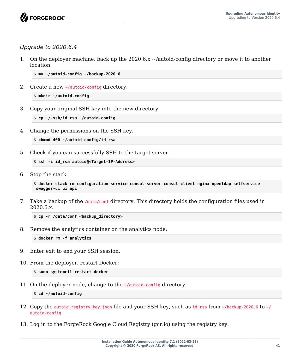

#### *Upgrade to 2020.6.4*

1. On the deployer machine, back up the 2020.6.x ~/autoid-config directory or move it to another location.

\$ **mv ~/autoid-config ~/backup-2020.6**

2. Create a new ~/autoid-config directory.

\$ **mkdir ~/autoid-config**

3. Copy your original SSH key into the new directory.

```
$ cp ~/.ssh/id_rsa ~/autoid-config
```
4. Change the permissions on the SSH key.

```
$ chmod 400 ~/autoid-config/id_rsa
```
5. Check if you can successfully SSH to the target server.

```
$ ssh -i id_rsa autoid@<Target-IP-Address>
```
6. Stop the stack.

```
$ docker stack rm configuration-service consul-server consul-client nginx openldap selfservice
 swagger-ui ui api
```
7. Take a backup of the /data/conf directory. This directory holds the configuration files used in 2020.6.x.

\$ **cp -r /data/conf <backup\_directory>**

8. Remove the analytics container on the analytics node:

\$ **docker rm -f analytics**

- 9. Enter exit to end your SSH session.
- 10. From the deployer, restart Docker:

```
$ sudo systemctl restart docker
```
11. On the deployer node, change to the  $\sim$ /autoid-config directory.

\$ **cd ~/autoid-config**

- 12. Copy the autoid registry key.json file and your SSH key, such as id rsa from  $\sim$ /backup-2020.6 to  $\sim$ / autoid-config.
- 13. Log in to the ForgeRock Google Cloud Registry (gcr.io) using the registry key.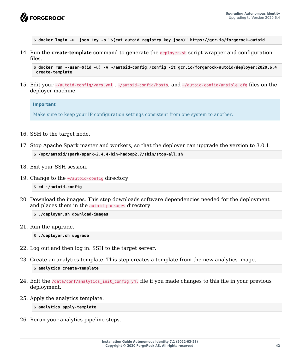

\$ **docker login -u \_json\_key -p "\$(cat autoid\_registry\_key.json)" https://gcr.io/forgerock-autoid**

14. Run the **create-template** command to generate the deployer.sh script wrapper and configuration files.

```
$ docker run --user=$(id -u) -v ~/autoid-config:/config -it gcr.io/forgerock-autoid/deployer:2020.6.4
 create-template
```
15. Edit your ~/autoid-config/vars.yml , ~/autoid-config/hosts, and ~/autoid-config/ansible.cfg files on the deployer machine.

#### **Important**

Make sure to keep your IP configuration settings consistent from one system to another.

- 16. SSH to the target node.
- 17. Stop Apache Spark master and workers, so that the deployer can upgrade the version to 3.0.1.

```
$ /opt/autoid/spark/spark-2.4.4-bin-hadoop2.7/sbin/stop-all.sh
```
- 18. Exit your SSH session.
- 19. Change to the ~/autoid-config directory.

\$ **cd ~/autoid-config**

20. Download the images. This step downloads software dependencies needed for the deployment and places them in the autoid-packages directory.

\$ **./deployer.sh download-images**

- 21. Run the upgrade.
	- \$ **./deployer.sh upgrade**
- 22. Log out and then log in. SSH to the target server.
- 23. Create an analytics template. This step creates a template from the new analytics image.

\$ **analytics create-template**

- 24. Edit the /data/conf/analytics\_init\_config.yml file if you made changes to this file in your previous deployment.
- 25. Apply the analytics template.

#### \$ **analytics apply-template**

26. Rerun your analytics pipeline steps.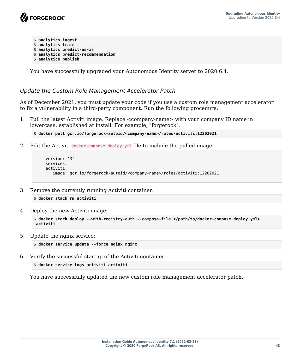```
$ analytics ingest
$ analytics train
$ analytics predict-as-is
$ analytics predict-recommendation
$ analytics publish
```
You have successfully upgraded your Autonomous Identity server to 2020.6.4.

<span id="page-47-0"></span>*Update the Custom Role Management Accelerator Patch*

As of December 2021, you must update your code if you use a custom role management accelerator to fix a vulnerability in a third-party component. Run the following procedure:

1. Pull the latest Activiti image. Replace <company-name> with your company ID name in lowercase, established at install. For example, "forgerock".

```
$ docker pull gcr.io/forgerock-autoid/<company-name>/roles/activiti:12202021
```
2. Edit the Activiti docker-compose.deploy.yml file to include the pulled image:

```
 version: '3'
 services:
 activiti:
    image: gcr.io/forgerock-autoid/<company-name>/roles/activiti:12202021
```
3. Remove the currently running Activiti container:

```
$ docker stack rm activiti
```
4. Deploy the new Activiti image:

```
$ docker stack deploy --with-registry-auth --compose-file </path/to/docker-compose.deploy.yml>
 activiti
```
5. Update the nginx service:

```
$ docker service update --force nginx nginx
```
6. Verify the successful startup of the Activiti container:

```
$ docker service logs activiti_activiti
```
You have successfully updated the new custom role management accelerator patch.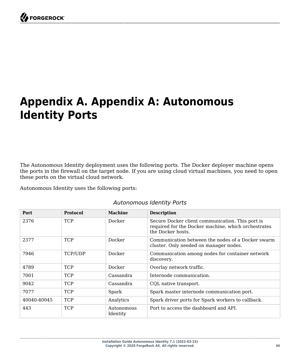<span id="page-48-0"></span>

# **Appendix A. Appendix A: Autonomous Identity Ports**

The Autonomous Identity deployment uses the following ports. The Docker deployer machine opens the ports in the firewall on the target node. If you are using cloud virtual machines, you need to open these ports on the virtual cloud network.

Autonomous Identity uses the following ports:

| <b>Port</b> | <b>Protocol</b> | <b>Machine</b>         | <b>Description</b>                                                                                                          |
|-------------|-----------------|------------------------|-----------------------------------------------------------------------------------------------------------------------------|
| 2376        | <b>TCP</b>      | Docker                 | Secure Docker client communication. This port is<br>required for the Docker machine, which orchestrates<br>the Docker hosts |
| 2377        | <b>TCP</b>      | Docker                 | Communication between the nodes of a Docker swarm<br>cluster. Only needed on manager nodes.                                 |
| 7946        | TCP/UDP         | Docker                 | Communication among nodes for container network<br>discovery.                                                               |
| 4789        | <b>TCP</b>      | Docker                 | Overlay network traffic.                                                                                                    |
| 7001        | <b>TCP</b>      | Cassandra              | Internode communication.                                                                                                    |
| 9042        | <b>TCP</b>      | Cassandra              | CQL native transport.                                                                                                       |
| 7077        | <b>TCP</b>      | Spark                  | Spark master internode communication port.                                                                                  |
| 40040-40045 | <b>TCP</b>      | Analytics              | Spark driver ports for Spark workers to callback.                                                                           |
| 443         | <b>TCP</b>      | Autonomous<br>Identity | Port to access the dashboard and API.                                                                                       |

#### *Autonomous Identity Ports*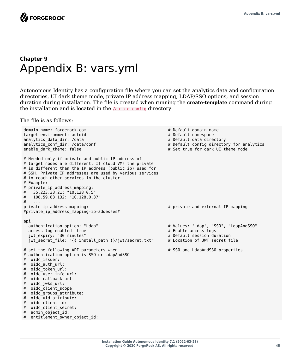**FORGEROCK** 

#### <span id="page-49-0"></span>**Chapter 9** Appendix B: vars.yml

Autonomous Identity has a configuration file where you can set the analytics data and configuration directories, UI dark theme mode, private IP address mapping, LDAP/SSO options, and session duration during installation. The file is created when running the **create-template** command during the installation and is located in the /autoid-config directory.

The file is as follows:

```
domain_name: forgerock.com <br>
\begin{array}{ccc}\n\text{domain name} \\
\text{target environment: } \text{autoid} \\
\end{array}target_environment: autoid # Default namespace
analytics data dir: /data
analytics_conf_dir: /data/conf \qquad \qquad \qquad \qquad \qquad \qquad \qquad \qquad \qquad \qquad \qquad \qquad \qquad \qquad \qquad \qquad \qquad \qquad \qquad \qquad \qquad \qquad \qquad \qquad \qquad \qquad \qquad \qquad \qquad \qquad \qquad \qquad# Set true for dark UI theme mode
# Needed only if private and public IP address of
# target nodes are different. If cloud VMs the private
# is different than the IP address (public ip) used for
# SSH. Private IP addresses are used by various services
# to reach other services in the cluster
# Example:
# private_ip_address_mapping:
     # 35.223.33.21: "10.128.0.5"
# 108.59.83.132: "10.128.0.37"
     # ...
private_ip_address_mapping: # private and external IP mapping
#private_ip_address_mapping-ip-addesses#
api:
  authentication_option: "Ldap" <br>
access log enabled: true <br>
# Enable access logs logs logs and the matrice of the matrice of the matrice of the matrice of the matrice of the matrice of the matrice of the matrice of the matr
  access_log_enabled: true # Enable access logs<br>iwt expirv: "30 minutes" <br># Default session duration
  jwt_expiry: "30 minutes" # Default session duration<br>iwt_secret_file: "{{ install path }}/iwt/secret.txt" # Location of JWT secret_file
  jwt_secret_file: "{{ install_path }}/jwt/secret.txt"
# set the following API parameters when \qquad # SSO and LdapAndSSO properties
# authentication_option is SSO or LdapAndSSO
# oidc_issuer:
# oidc_auth_url:
# oidc token url:
# oidc_user_info_url:
# oidc_callback_url:
# oidc_jwks_url:
# oidc client scope:
# oidc_groups_attribute:
# oidc uid attribute:
# oidc_client_id:
# oidc client secret:
# admin_object_id:
# entitlement owner object id:
```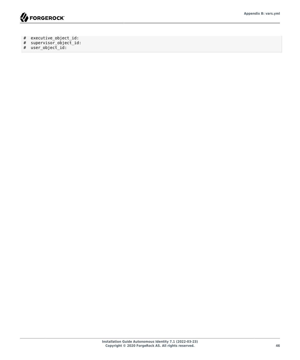

- # executive\_object\_id:
- # supervisor\_object\_id:
- # user\_object\_id: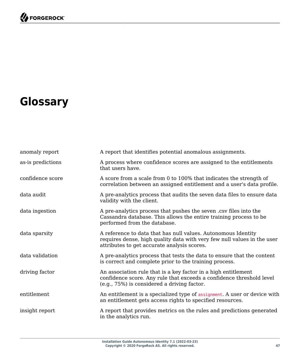# <span id="page-51-0"></span>**Glossary**

| anomaly report    | A report that identifies potential anomalous assignments.                                                                                                                               |
|-------------------|-----------------------------------------------------------------------------------------------------------------------------------------------------------------------------------------|
| as-is predictions | A process where confidence scores are assigned to the entitlements<br>that users have.                                                                                                  |
| confidence score  | A score from a scale from 0 to 100% that indicates the strength of<br>correlation between an assigned entitlement and a user's data profile.                                            |
| data audit        | A pre-analytics process that audits the seven data files to ensure data<br>validity with the client.                                                                                    |
| data ingestion    | A pre-analytics process that pushes the seven .csv files into the<br>Cassandra database. This allows the entire training process to be<br>performed from the database.                  |
| data sparsity     | A reference to data that has null values. Autonomous Identity<br>requires dense, high quality data with very few null values in the user<br>attributes to get accurate analysis scores. |
| data validation   | A pre-analytics process that tests the data to ensure that the content<br>is correct and complete prior to the training process.                                                        |
| driving factor    | An association rule that is a key factor in a high entitlement<br>confidence score. Any rule that exceeds a confidence threshold level<br>(e.g., 75%) is considered a driving factor.   |
| entitlement       | An entitlement is a specialized type of assignment. A user or device with<br>an entitlement gets access rights to specified resources.                                                  |
| insight report    | A report that provides metrics on the rules and predictions generated<br>in the analytics run.                                                                                          |